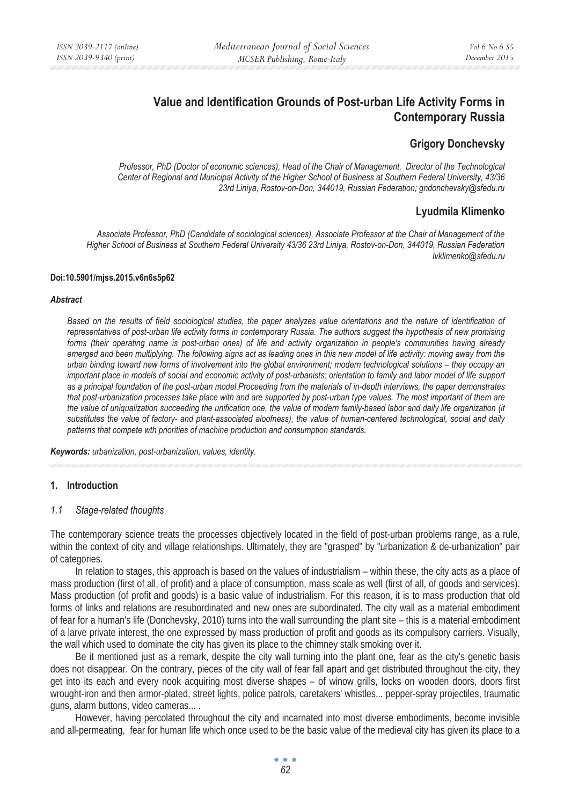# **Value and Identification Grounds of Post-urban Life Activity Forms in Contemporary Russia**

## **Grigory Donchevsky**

*Professor, PhD (Doctor of economic sciences), Head of the Chair of Management, Director of the Technological Center of Regional and Municipal Activity of the Higher School of Business at Southern Federal University, 43/36 23rd Liniya, Rostov-on-Don, 344019, Russian Federation; gndonchevsky@sfedu.ru* 

## **Lyudmila Klimenko**

*Associate Professor, PhD (Candidate of sociological sciences), Associate Professor at the Chair of Management of the Higher School of Business at Southern Federal University 43/36 23rd Liniya, Rostov-on-Don, 344019, Russian Federation lvklimenko@sfedu.ru* 

#### **Doi:10.5901/mjss.2015.v6n6s5p62**

#### *Abstract*

Based on the results of field sociological studies, the paper analyzes value orientations and the nature of identification of *representatives of post-urban life activity forms in contemporary Russia. The authors suggest the hypothesis of new promising forms (their operating name is post-urban ones) of life and activity organization in people's communities having already*  emerged and been multiplying. The following signs act as leading ones in this new model of life activity: moving away from the *urban binding toward new forms of involvement into the global environment; modern technological solutions – they occupy an important place in models of social and economic activity of post-urbanists; orientation to family and labor model of life support as a principal foundation of the post-urban model.Proceeding from the materials of in-depth interviews, the paper demonstrates that post-urbanization processes take place with and are supported by post-urban type values. The most important of them are the value of uniqualization succeeding the unification one, the value of modern family-based labor and daily life organization (it substitutes the value of factory- and plant-associated aloofness), the value of human-centered technological, social and daily patterns that compete wth priorities of machine production and consumption standards.* 

*Keywords: urbanization, post-urbanization, values, identity.* 

### **1. Introduction**

### *1.1 Stage-related thoughts*

The contemporary science treats the processes objectively located in the field of post-urban problems range, as a rule, within the context of city and village relationships. Ultimately, they are "grasped" by "urbanization & de-urbanization" pair of categories.

In relation to stages, this approach is based on the values of industrialism – within these, the city acts as a place of mass production (first of all, of profit) and a place of consumption, mass scale as well (first of all, of goods and services). Mass production (of profit and goods) is a basic value of industrialism. For this reason, it is to mass production that old forms of links and relations are resubordinated and new ones are subordinated. The city wall as a material embodiment of fear for a human's life (Donchevsky, 2010) turns into the wall surrounding the plant site – this is a material embodiment of a larve private interest, the one expressed by mass production of profit and goods as its compulsory carriers. Visually, the wall which used to dominate the city has given its place to the chimney stalk smoking over it.

Be it mentioned just as a remark, despite the city wall turning into the plant one, fear as the city's genetic basis does not disappear. On the contrary, pieces of the city wall of fear fall apart and get distributed throughout the city, they get into its each and every nook acquiring most diverse shapes – of winow grills, locks on wooden doors, doors first wrought-iron and then armor-plated, street lights, police patrols, caretakers' whistles... pepper-spray projectiles, traumatic guns, alarm buttons, video cameras... .

However, having percolated throughout the city and incarnated into most diverse embodiments, become invisible and all-permeating, fear for human life which once used to be the basic value of the medieval city has given its place to a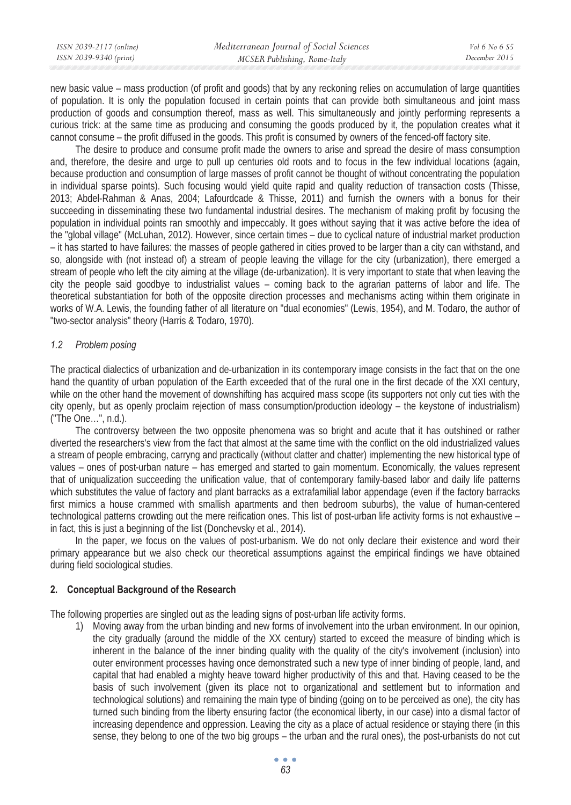| ISSN 2039-2117 (online) | Mediterranean Journal of Social Sciences | <i>Vol</i> 6 No 6 S5 |
|-------------------------|------------------------------------------|----------------------|
| ISSN 2039-9340 (print)  | MCSER Publishing, Rome-Italy             | December 2015        |

new basic value – mass production (of profit and goods) that by any reckoning relies on accumulation of large quantities of population. It is only the population focused in certain points that can provide both simultaneous and joint mass production of goods and consumption thereof, mass as well. This simultaneously and jointly performing represents a curious trick: at the same time as producing and consuming the goods produced by it, the population creates what it cannot consume – the profit diffused in the goods. This profit is consumed by owners of the fenced-off factory site.

The desire to produce and consume profit made the owners to arise and spread the desire of mass consumption and, therefore, the desire and urge to pull up centuries old roots and to focus in the few individual locations (again, because production and consumption of large masses of profit cannot be thought of without concentrating the population in individual sparse points). Such focusing would yield quite rapid and quality reduction of transaction costs (Thisse, 2013; Abdel-Rahman & Anas, 2004; Lafourdcade & Thisse, 2011) and furnish the owners with a bonus for their succeeding in disseminating these two fundamental industrial desires. The mechanism of making profit by focusing the population in individual points ran smoothly and impeccably. It goes without saying that it was active before the idea of the "global village" (McLuhan, 2012). However, since certain times – due to cyclical nature of industrial market production – it has started to have failures: the masses of people gathered in cities proved to be larger than a city can withstand, and so, alongside with (not instead of) a stream of people leaving the village for the city (urbanization), there emerged a stream of people who left the city aiming at the village (de-urbanization). It is very important to state that when leaving the city the people said goodbye to industrialist values – coming back to the agrarian patterns of labor and life. The theoretical substantiation for both of the opposite direction processes and mechanisms acting within them originate in works of W.A. Lewis, the founding father of all literature on "dual economies" (Lewis, 1954), and M. Todaro, the author of "two-sector analysis" theory (Harris & Todaro, 1970).

## *1.2 Problem posing*

The practical dialectics of urbanization and de-urbanization in its contemporary image consists in the fact that on the one hand the quantity of urban population of the Earth exceeded that of the rural one in the first decade of the XXI century, while on the other hand the movement of downshifting has acquired mass scope (its supporters not only cut ties with the city openly, but as openly proclaim rejection of mass consumption/production ideology – the keystone of industrialism) ("The One…", n.d.).

The controversy between the two opposite phenomena was so bright and acute that it has outshined or rather diverted the researchers's view from the fact that almost at the same time with the conflict on the old industrialized values a stream of people embracing, carryng and practically (without clatter and chatter) implementing the new historical type of values – ones of post-urban nature – has emerged and started to gain momentum. Economically, the values represent that of uniqualization succeeding the unification value, that of contemporary family-based labor and daily life patterns which substitutes the value of factory and plant barracks as a extrafamilial labor appendage (even if the factory barracks first mimics a house crammed with smallish apartments and then bedroom suburbs), the value of human-centered technological patterns crowding out the mere reification ones. This list of post-urban life activity forms is not exhaustive – in fact, this is just a beginning of the list (Donchevsky et al., 2014).

In the paper, we focus on the values of post-urbanism. We do not only declare their existence and word their primary appearance but we also check our theoretical assumptions against the empirical findings we have obtained during field sociological studies.

### **2. Conceptual Background of the Research**

The following properties are singled out as the leading signs of post-urban life activity forms.

1) Moving away from the urban binding and new forms of involvement into the urban environment. In our opinion, the city gradually (around the middle of the XX century) started to exceed the measure of binding which is inherent in the balance of the inner binding quality with the quality of the city's involvement (inclusion) into outer environment processes having once demonstrated such a new type of inner binding of people, land, and capital that had enabled a mighty heave toward higher productivity of this and that. Having ceased to be the basis of such involvement (given its place not to organizational and settlement but to information and technological solutions) and remaining the main type of binding (going on to be perceived as one), the city has turned such binding from the liberty ensuring factor (the economical liberty, in our case) into a dismal factor of increasing dependence and oppression. Leaving the city as a place of actual residence or staying there (in this sense, they belong to one of the two big groups – the urban and the rural ones), the post-urbanists do not cut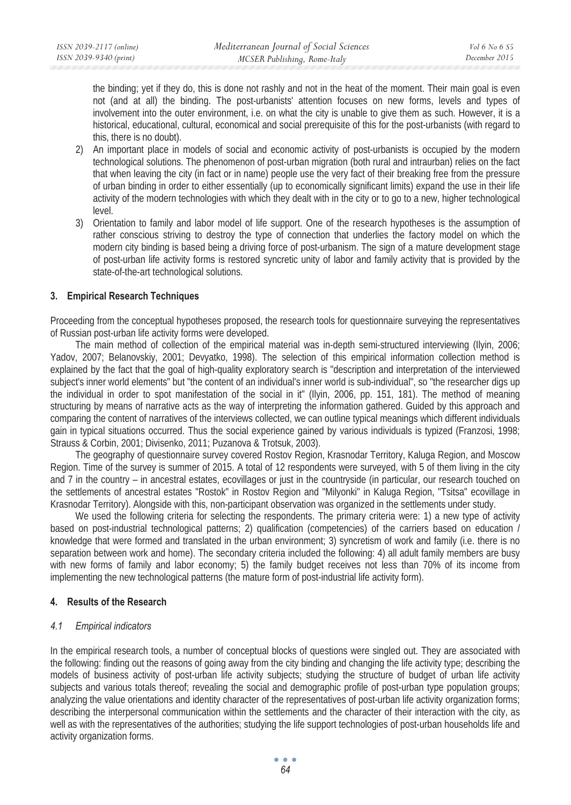the binding; yet if they do, this is done not rashly and not in the heat of the moment. Their main goal is even not (and at all) the binding. The post-urbanists' attention focuses on new forms, levels and types of involvement into the outer environment, i.e. on what the city is unable to give them as such. However, it is a historical, educational, cultural, economical and social prerequisite of this for the post-urbanists (with regard to this, there is no doubt).

- 2) An important place in models of social and economic activity of post-urbanists is occupied by the modern technological solutions. The phenomenon of post-urban migration (both rural and intraurban) relies on the fact that when leaving the city (in fact or in name) people use the very fact of their breaking free from the pressure of urban binding in order to either essentially (up to economically significant limits) expand the use in their life activity of the modern technologies with which they dealt with in the city or to go to a new, higher technological level.
- 3) Orientation to family and labor model of life support. One of the research hypotheses is the assumption of rather conscious striving to destroy the type of connection that underlies the factory model on which the modern city binding is based being a driving force of post-urbanism. The sign of a mature development stage of post-urban life activity forms is restored syncretic unity of labor and family activity that is provided by the state-of-the-art technological solutions.

## **3. Empirical Research Techniques**

Proceeding from the conceptual hypotheses proposed, the research tools for questionnaire surveying the representatives of Russian post-urban life activity forms were developed.

The main method of collection of the empirical material was in-depth semi-structured interviewing (Ilyin, 2006; Yadov, 2007; Belanovskiy, 2001; Devyatko, 1998). The selection of this empirical information collection method is explained by the fact that the goal of high-quality exploratory search is "description and interpretation of the interviewed subject's inner world elements" but "the content of an individual's inner world is sub-individual", so "the researcher digs up the individual in order to spot manifestation of the social in it" (Ilyin, 2006, pp. 151, 181). The method of meaning structuring by means of narrative acts as the way of interpreting the information gathered. Guided by this approach and comparing the content of narratives of the interviews collected, we can outline typical meanings which different individuals gain in typical situations occurred. Thus the social experience gained by various individuals is typized (Franzosi, 1998; Strauss & Corbin, 2001; Divisenko, 2011; Puzanova & Trotsuk, 2003).

The geography of questionnaire survey covered Rostov Region, Krasnodar Territory, Kaluga Region, and Moscow Region. Time of the survey is summer of 2015. A total of 12 respondents were surveyed, with 5 of them living in the city and 7 in the country – in ancestral estates, ecovillages or just in the countryside (in particular, our research touched on the settlements of ancestral estates "Rostok" in Rostov Region and "Milyonki" in Kaluga Region, "Tsitsa" ecovillage in Krasnodar Territory). Alongside with this, non-participant observation was organized in the settlements under study.

We used the following criteria for selecting the respondents. The primary criteria were: 1) a new type of activity based on post-industrial technological patterns; 2) qualification (competencies) of the carriers based on education / knowledge that were formed and translated in the urban environment; 3) syncretism of work and family (i.e. there is no separation between work and home). The secondary criteria included the following: 4) all adult family members are busy with new forms of family and labor economy; 5) the family budget receives not less than 70% of its income from implementing the new technological patterns (the mature form of post-industrial life activity form).

### **4. Results of the Research**

### *4.1 Empirical indicators*

In the empirical research tools, a number of conceptual blocks of questions were singled out. They are associated with the following: finding out the reasons of going away from the city binding and changing the life activity type; describing the models of business activity of post-urban life activity subjects; studying the structure of budget of urban life activity subjects and various totals thereof; revealing the social and demographic profile of post-urban type population groups; analyzing the value orientations and identity character of the representatives of post-urban life activity organization forms; describing the interpersonal communication within the settlements and the character of their interaction with the city, as well as with the representatives of the authorities; studying the life support technologies of post-urban households life and activity organization forms.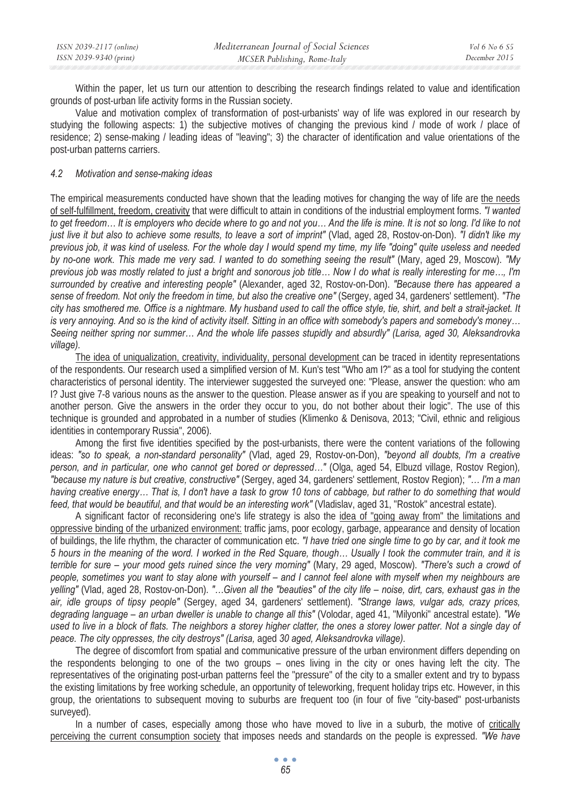| ISSN 2039-2117 (online) | Mediterranean Journal of Social Sciences | <i>Vol</i> 6 No 6 S5 |
|-------------------------|------------------------------------------|----------------------|
| ISSN 2039-9340 (print)  | MCSER Publishing, Rome-Italy             | December 2015        |

Within the paper, let us turn our attention to describing the research findings related to value and identification grounds of post-urban life activity forms in the Russian society.

Value and motivation complex of transformation of post-urbanists' way of life was explored in our research by studying the following aspects: 1) the subjective motives of changing the previous kind / mode of work / place of residence; 2) sense-making / leading ideas of "leaving"; 3) the character of identification and value orientations of the post-urban patterns carriers.

#### *4.2 Motivation and sense-making ideas*

The empirical measurements conducted have shown that the leading motives for changing the way of life are the needs of self-fulfillment, freedom, creativity that were difficult to attain in conditions of the industrial employment forms. *"I wanted to get freedom… It is employers who decide where to go and not you… And the life is mine. It is not so long. I'd like to not just live it but also to achieve some results, to leave a sort of imprint"* (Vlad, aged 28, Rostov-on-Don). *"I didn't like my previous job, it was kind of useless. For the whole day I would spend my time, my life "doing" quite useless and needed by no-one work. This made me very sad. I wanted to do something seeing the result"* (Mary, aged 29, Moscow). *"My previous job was mostly related to just a bright and sonorous job title… Now I do what is really interesting for me…, I'm surrounded by creative and interesting people"* (Alexander, aged 32, Rostov-on-Don). *"Because there has appeared a sense of freedom. Not only the freedom in time, but also the creative one"* (Sergey, aged 34, gardeners' settlement). *"The city has smothered me. Office is a nightmare. My husband used to call the office style, tie, shirt, and belt a strait-jacket. It is very annoying. And so is the kind of activity itself. Sitting in an office with somebody's papers and somebody's money… Seeing neither spring nor summer… And the whole life passes stupidly and absurdly" (Larisa, aged 30, Aleksandrovka village).* 

The idea of uniqualization, creativity, individuality, personal development can be traced in identity representations of the respondents. Our research used a simplified version of M. Kun's test "Who am I?" as a tool for studying the content characteristics of personal identity. The interviewer suggested the surveyed one: "Please, answer the question: who am I? Just give 7-8 various nouns as the answer to the question. Please answer as if you are speaking to yourself and not to another person. Give the answers in the order they occur to you, do not bother about their logic". The use of this technique is grounded and approbated in a number of studies (Klimenko & Denisova, 2013; "Civil, ethnic and religious identities in contemporary Russia", 2006).

Among the first five identities specified by the post-urbanists, there were the content variations of the following ideas: *"so to speak, a non-standard personality"* (Vlad, aged 29, Rostov-on-Don), *"beyond all doubts, I'm a creative person, and in particular, one who cannot get bored or depressed…"* (Olga, aged 54, Elbuzd village, Rostov Region)*, "because my nature is but creative, constructive"* (Sergey, aged 34, gardeners' settlement, Rostov Region); *"… I'm a man having creative energy… That is, I don't have a task to grow 10 tons of cabbage, but rather to do something that would feed, that would be beautiful, and that would be an interesting work" (Vladislav, aged 31, "Rostok" ancestral estate).* 

A significant factor of reconsidering one's life strategy is also the idea of "going away from" the limitations and oppressive binding of the urbanized environment: traffic jams, poor ecology, garbage, appearance and density of location of buildings, the life rhythm, the character of communication etc. *"I have tried one single time to go by car, and it took me 5 hours in the meaning of the word. I worked in the Red Square, though… Usually I took the commuter train, and it is terrible for sure – your mood gets ruined since the very morning"* (Mary, 29 aged, Moscow). *"There's such a crowd of people, sometimes you want to stay alone with yourself – and I cannot feel alone with myself when my neighbours are yelling"* (Vlad, aged 28, Rostov-on-Don). *"…Given all the "beauties" of the city life – noise, dirt, cars, exhaust gas in the air, idle groups of tipsy people"* (Sergey, aged 34, gardeners' settlement). *"Strange laws, vulgar ads, crazy prices, degrading language – an urban dweller is unable to change all this"* (Volodar, aged 41, "Milyonki" ancestral estate). *"We used to live in a block of flats. The neighbors a storey higher clatter, the ones a storey lower patter. Not a single day of peace. The city oppresses, the city destroys" (Larisa,* aged *30 aged, Aleksandrovka village).* 

The degree of discomfort from spatial and communicative pressure of the urban environment differs depending on the respondents belonging to one of the two groups – ones living in the city or ones having left the city. The representatives of the originating post-urban patterns feel the "pressure" of the city to a smaller extent and try to bypass the existing limitations by free working schedule, an opportunity of teleworking, frequent holiday trips etc. However, in this group, the orientations to subsequent moving to suburbs are frequent too (in four of five "city-based" post-urbanists surveyed).

In a number of cases, especially among those who have moved to live in a suburb, the motive of critically perceiving the current consumption society that imposes needs and standards on the people is expressed. *"We have*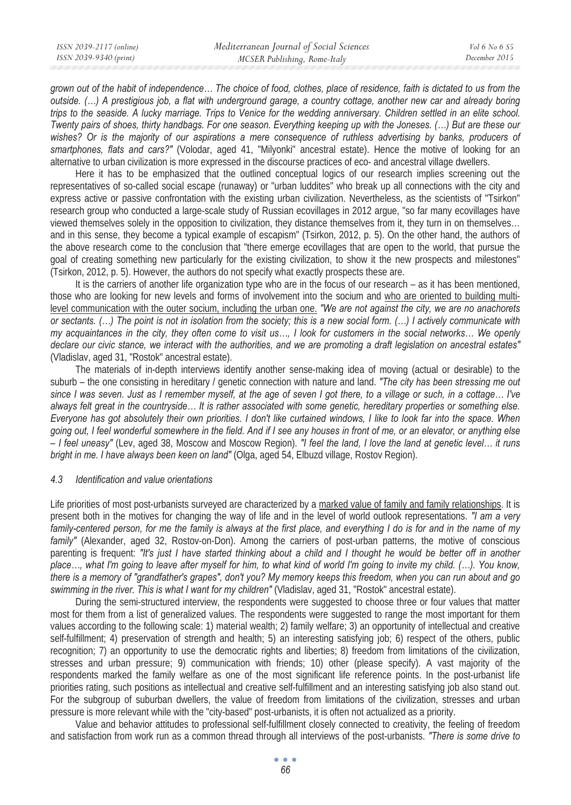*grown out of the habit of independence… The choice of food, clothes, place of residence, faith is dictated to us from the outside. (…) A prestigious job, a flat with underground garage, a country cottage, another new car and already boring trips to the seaside. A lucky marriage. Trips to Venice for the wedding anniversary. Children settled in an elite school. Twenty pairs of shoes, thirty handbags. For one season. Everything keeping up with the Joneses. (…) But are these our*  wishes? Or is the majority of our aspirations a mere consequence of ruthless advertising by banks, producers of *smartphones, flats and cars?"* (Volodar, aged 41, "Milyonki" ancestral estate). Hence the motive of looking for an alternative to urban civilization is more expressed in the discourse practices of eco- and ancestral village dwellers.

Here it has to be emphasized that the outlined conceptual logics of our research implies screening out the representatives of so-called social escape (runaway) or "urban luddites" who break up all connections with the city and express active or passive confrontation with the existing urban civilization. Nevertheless, as the scientists of "Tsirkon" research group who conducted a large-scale study of Russian ecovillages in 2012 argue, "so far many ecovillages have viewed themselves solely in the opposition to civilization, they distance themselves from it, they turn in on themselves… and in this sense, they become a typical example of escapism" (Tsirkon, 2012, p. 5). On the other hand, the authors of the above research come to the conclusion that "there emerge ecovillages that are open to the world, that pursue the goal of creating something new particularly for the existing civilization, to show it the new prospects and milestones" (Tsirkon, 2012, p. 5). However, the authors do not specify what exactly prospects these are.

It is the carriers of another life organization type who are in the focus of our research – as it has been mentioned, those who are looking for new levels and forms of involvement into the socium and who are oriented to building multilevel communication with the outer socium, including the urban one. *"We are not against the city, we are no anachorets or sectants. (…) The point is not in isolation from the society; this is a new social form. (…) I actively communicate with my acquaintances in the city, they often come to visit us…, I look for customers in the social networks… We openly declare our civic stance, we interact with the authorities, and we are promoting a draft legislation on ancestral estates"*  (Vladislav, aged 31, "Rostok" ancestral estate).

The materials of in-depth interviews identify another sense-making idea of moving (actual or desirable) to the suburb – the one consisting in hereditary / genetic connection with nature and land. *"The city has been stressing me out since I was seven. Just as I remember myself, at the age of seven I got there, to a village or such, in a cottage… I've always felt great in the countryside… It is rather associated with some genetic, hereditary properties or something else. Everyone has got absolutely their own priorities. I don't like curtained windows, I like to look far into the space. When going out, I feel wonderful somewhere in the field. And if I see any houses in front of me, or an elevator, or anything else – I feel uneasy"* (Lev, aged 38, Moscow and Moscow Region). *"I feel the land, I love the land at genetic level… it runs bright in me. I have always been keen on land"* (Olga, aged 54, Elbuzd village, Rostov Region)*.* 

### *4.3 Identification and value orientations*

Life priorities of most post-urbanists surveyed are characterized by a marked value of family and family relationships. It is present both in the motives for changing the way of life and in the level of world outlook representations. *"I am a very family-centered person, for me the family is always at the first place, and everything I do is for and in the name of my family"* (Alexander, aged 32, Rostov-on-Don). Among the carriers of post-urban patterns, the motive of conscious parenting is frequent: *"It's just I have started thinking about a child and I thought he would be better off in another* place..., what I'm going to leave after myself for him, to what kind of world I'm going to invite my child. (...). You know, *there is a memory of "grandfather's grapes", don't you? My memory keeps this freedom, when you can run about and go swimming in the river. This is what I want for my children"* (Vladislav, aged 31, "Rostok" ancestral estate).

During the semi-structured interview, the respondents were suggested to choose three or four values that matter most for them from a list of generalized values. The respondents were suggested to range the most important for them values according to the following scale: 1) material wealth; 2) family welfare; 3) an opportunity of intellectual and creative self-fulfillment; 4) preservation of strength and health; 5) an interesting satisfying job; 6) respect of the others, public recognition; 7) an opportunity to use the democratic rights and liberties; 8) freedom from limitations of the civilization, stresses and urban pressure; 9) communication with friends; 10) other (please specify). A vast majority of the respondents marked the family welfare as one of the most significant life reference points. In the post-urbanist life priorities rating, such positions as intellectual and creative self-fulfillment and an interesting satisfying job also stand out. For the subgroup of suburban dwellers, the value of freedom from limitations of the civilization, stresses and urban pressure is more relevant while with the "city-based" post-urbanists, it is often not actualized as a priority.

Value and behavior attitudes to professional self-fulfillment closely connected to creativity, the feeling of freedom and satisfaction from work run as a common thread through all interviews of the post-urbanists. *"There is some drive to*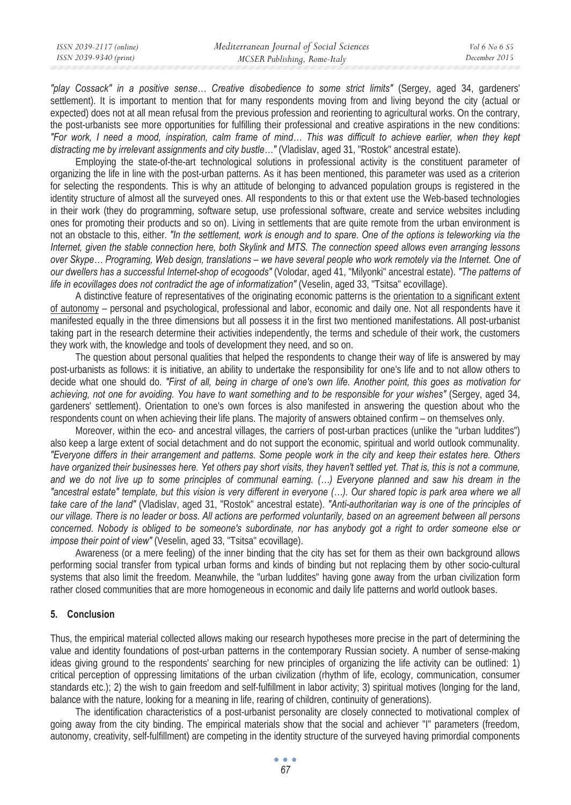*"play Cossack" in a positive sense… Creative disobedience to some strict limits"* (Sergey, aged 34, gardeners' settlement). It is important to mention that for many respondents moving from and living beyond the city (actual or expected) does not at all mean refusal from the previous profession and reorienting to agricultural works. On the contrary, the post-urbanists see more opportunities for fulfilling their professional and creative aspirations in the new conditions: *"For work, I need a mood, inspiration, calm frame of mind… This was difficult to achieve earlier, when they kept distracting me by irrelevant assignments and city bustle…"* (Vladislav, aged 31, "Rostok" ancestral estate).

Employing the state-of-the-art technological solutions in professional activity is the constituent parameter of organizing the life in line with the post-urban patterns. As it has been mentioned, this parameter was used as a criterion for selecting the respondents. This is why an attitude of belonging to advanced population groups is registered in the identity structure of almost all the surveyed ones. All respondents to this or that extent use the Web-based technologies in their work (they do programming, software setup, use professional software, create and service websites including ones for promoting their products and so on). Living in settlements that are quite remote from the urban environment is not an obstacle to this, either. *"In the settlement, work is enough and to spare. One of the options is teleworking via the Internet, given the stable connection here, both Skylink and MTS. The connection speed allows even arranging lessons over Skype… Programing, Web design, translations – we have several people who work remotely via the Internet. One of our dwellers has a successful Internet-shop of ecogoods"* (Volodar, aged 41, "Milyonki" ancestral estate). *"The patterns of life in ecovillages does not contradict the age of informatization" (Veselin, aged 33, "Tsitsa" ecovillage).* 

A distinctive feature of representatives of the originating economic patterns is the orientation to a significant extent of autonomy – personal and psychological, professional and labor, economic and daily one. Not all respondents have it manifested equally in the three dimensions but all possess it in the first two mentioned manifestations. All post-urbanist taking part in the research determine their activities independently, the terms and schedule of their work, the customers they work with, the knowledge and tools of development they need, and so on.

The question about personal qualities that helped the respondents to change their way of life is answered by may post-urbanists as follows: it is initiative, an ability to undertake the responsibility for one's life and to not allow others to decide what one should do. *"First of all, being in charge of one's own life. Another point, this goes as motivation for*  achieving, not one for avoiding. You have to want something and to be responsible for your wishes" (Sergey, aged 34, gardeners' settlement). Orientation to one's own forces is also manifested in answering the question about who the respondents count on when achieving their life plans. The majority of answers obtained confirm – on themselves only.

Moreover, within the eco- and ancestral villages, the carriers of post-urban practices (unlike the "urban luddites") also keep a large extent of social detachment and do not support the economic, spiritual and world outlook communality. *"Everyone differs in their arrangement and patterns. Some people work in the city and keep their estates here. Others have organized their businesses here. Yet others pay short visits, they haven't settled yet. That is, this is not a commune, and we do not live up to some principles of communal earning. (…) Everyone planned and saw his dream in the "ancestral estate" template, but this vision is very different in everyone (…). Our shared topic is park area where we all take care of the land"* (Vladislav, aged 31, "Rostok" ancestral estate). *"Anti-authoritarian way is one of the principles of our village. There is no leader or boss. All actions are performed voluntarily, based on an agreement between all persons concerned. Nobody is obliged to be someone's subordinate, nor has anybody got a right to order someone else or impose their point of view"* (Veselin, aged 33, "Tsitsa" ecovillage).

Awareness (or a mere feeling) of the inner binding that the city has set for them as their own background allows performing social transfer from typical urban forms and kinds of binding but not replacing them by other socio-cultural systems that also limit the freedom. Meanwhile, the "urban luddites" having gone away from the urban civilization form rather closed communities that are more homogeneous in economic and daily life patterns and world outlook bases.

## **5. Conclusion**

Thus, the empirical material collected allows making our research hypotheses more precise in the part of determining the value and identity foundations of post-urban patterns in the contemporary Russian society. A number of sense-making ideas giving ground to the respondents' searching for new principles of organizing the life activity can be outlined: 1) critical perception of oppressing limitations of the urban civilization (rhythm of life, ecology, communication, consumer standards etc.); 2) the wish to gain freedom and self-fulfillment in labor activity; 3) spiritual motives (longing for the land, balance with the nature, looking for a meaning in life, rearing of children, continuity of generations).

The identification characteristics of a post-urbanist personality are closely connected to motivational complex of going away from the city binding. The empirical materials show that the social and achiever "I" parameters (freedom, autonomy, creativity, self-fulfillment) are competing in the identity structure of the surveyed having primordial components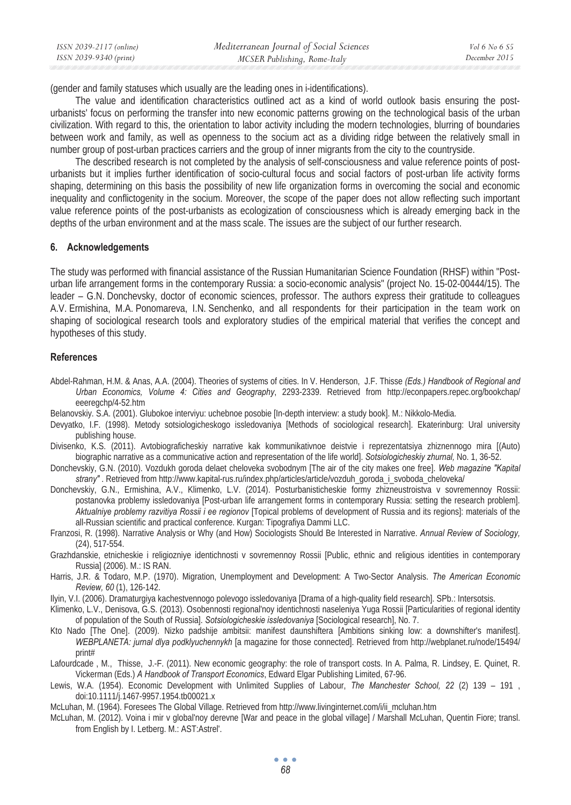| ISSN 2039-2117 (online) | Mediterranean Journal of Social Sciences | Vol 6 No 6 S5 |
|-------------------------|------------------------------------------|---------------|
| ISSN 2039-9340 (print)  | MCSER Publishing, Rome-Italy             | December 2015 |

(gender and family statuses which usually are the leading ones in i-identifications).

The value and identification characteristics outlined act as a kind of world outlook basis ensuring the posturbanists' focus on performing the transfer into new economic patterns growing on the technological basis of the urban civilization. With regard to this, the orientation to labor activity including the modern technologies, blurring of boundaries between work and family, as well as openness to the socium act as a dividing ridge between the relatively small in number group of post-urban practices carriers and the group of inner migrants from the city to the countryside.

The described research is not completed by the analysis of self-consciousness and value reference points of posturbanists but it implies further identification of socio-cultural focus and social factors of post-urban life activity forms shaping, determining on this basis the possibility of new life organization forms in overcoming the social and economic inequality and conflictogenity in the socium. Moreover, the scope of the paper does not allow reflecting such important value reference points of the post-urbanists as ecologization of consciousness which is already emerging back in the depths of the urban environment and at the mass scale. The issues are the subject of our further research.

#### **6. Acknowledgements**

The study was performed with financial assistance of the Russian Humanitarian Science Foundation (RHSF) within "Posturban life arrangement forms in the contemporary Russia: a socio-economic analysis" (project No. 15-02-00444/15). The leader – G.N. Donchevsky, doctor of economic sciences, professor. The authors express their gratitude to colleagues A.V. Ermishina, M.A. Ponomareva, I.N. Senchenko, and all respondents for their participation in the team work on shaping of sociological research tools and exploratory studies of the empirical material that verifies the concept and hypotheses of this study.

#### **References**

- Abdel-Rahman, H.M. & Anas, A.A. (2004). Theories of systems of cities. In V. Henderson, J.F. Thisse *(Eds.) Handbook of Regional and Urban Economics, Volume 4: Cities and Geography*, 2293-2339. Retrieved from http://econpapers.repec.org/bookchap/ eeeregchp/4-52.htm
- Belanovskiy. S.A. (2001). Glubokoe interviyu: uchebnoe posobie [In-depth interview: a study book]. M.: Nikkolo-Media.
- Devyatko, I.F. (1998). Metody sotsiologicheskogo issledovaniya [Methods of sociological research]. Ekaterinburg: Ural university publishing house.
- Divisenko, K.S. (2011). Avtobiograficheskiy narrative kak kommunikativnoe deistvie i reprezentatsiya zhiznennogo mira [(Auto) biographic narrative as a communicative action and representation of the life world]. *Sotsiologicheskiy zhurnal,* No. 1, 36-52.
- Donchevskiy, G.N. (2010). Vozdukh goroda delaet cheloveka svobodnym [The air of the city makes one free]. *Web magazine "Kapital strany"* . Retrieved from http://www.kapital-rus.ru/index.php/articles/article/vozduh\_goroda\_i\_svoboda\_cheloveka/
- Donchevskiy, G.N., Ermishina, A.V., Klimenko, L.V. (2014). Posturbanisticheskie formy zhizneustroistva v sovremennoy Rossii: postanovka problemy issledovaniya [Post-urban life arrangement forms in contemporary Russia: setting the research problem]. *Aktualniye problemy razvitiya Rossii i ee regionov* [Topical problems of development of Russia and its regions]: materials of the all-Russian scientific and practical conference. Kurgan: Tipografiya Dammi LLC.
- Franzosi, R. (1998). Narrative Analysis or Why (and How) Sociologists Should Be Interested in Narrative. *Annual Review of Sociology,* (24), 517-554.
- Grazhdanskie, etnicheskie i religiozniye identichnosti v sovremennoy Rossii [Public, ethnic and religious identities in contemporary Russia] (2006). M.: IS RAN.
- Harris, J.R. & Todaro, M.P. (1970). Migration, Unemployment and Development: A Two-Sector Analysis. *The American Economic Review, 60* (1), 126-142.
- Ilyin, V.I. (2006). Dramaturgiya kachestvennogo polevogo issledovaniya [Drama of a high-quality field research]. SPb.: Intersotsis.
- Klimenko, L.V., Denisova, G.S. (2013). Osobennosti regional'noy identichnosti naseleniya Yuga Rossii [Particularities of regional identity of population of the South of Russia]. *Sotsiologicheskie issledovaniya* [Sociological research], No. 7.
- Kto Nado [The One]. (2009). Nizko padshije ambitsii: manifest daunshiftera [Ambitions sinking low: a downshifter's manifest]. *WEBPLANETA: jurnal dlya podklyuchennykh* [a magazine for those connected]. Retrieved from http://webplanet.ru/node/15494/ print#
- Lafourdcade , M., Thisse, J.-F. (2011). New economic geography: the role of transport costs. In A. Palma, R. Lindsey, E. Quinet, R. Vickerman (Eds.) *A Handbook of Transport Economics*, Edward Elgar Publishing Limited, 67-96.
- Lewis, W.A. (1954). Economic Development with Unlimited Supplies of Labour, *The Manchester School, 22* (2) 139 191 , doi:10.1111/j.1467-9957.1954.tb00021.x
- McLuhan, M. (1964). Foresees The Global Village. Retrieved from http://www.livinginternet.com/i/ii\_mcluhan.htm
- McLuhan, M. (2012). Voina i mir v global'noy derevne [War and peace in the global village] / Marshall McLuhan, Quentin Fiore; transl. from English by I. Letberg. M.: AST:Astrel'.